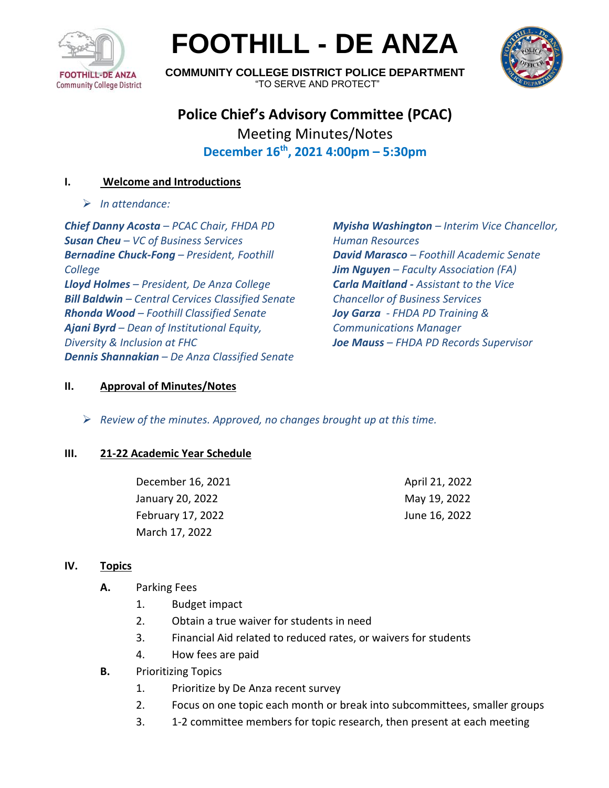

# **FOOTHILL - DE ANZA**



**COMMUNITY COLLEGE DISTRICT POLICE DEPARTMENT** "TO SERVE AND PROTECT"

# **Police Chief's Advisory Committee (PCAC)** Meeting Minutes/Notes **December 16 th , 2021 4:00pm – 5:30pm**

# **I. Welcome and Introductions**

➢ *In attendance:* 

*Chief Danny Acosta – PCAC Chair, FHDA PD Susan Cheu – VC of Business Services Bernadine Chuck-Fong – President, Foothill College Lloyd Holmes – President, De Anza College Bill Baldwin – Central Cervices Classified Senate Rhonda Wood – Foothill Classified Senate Ajani Byrd – Dean of Institutional Equity, Diversity & Inclusion at FHC Dennis Shannakian – De Anza Classified Senate*

*Myisha Washington – Interim Vice Chancellor, Human Resources David Marasco – Foothill Academic Senate Jim Nguyen – Faculty Association (FA) Carla Maitland - Assistant to the Vice Chancellor of Business Services Joy Garza - FHDA PD Training & Communications Manager Joe Mauss – FHDA PD Records Supervisor*

## **II. Approval of Minutes/Notes**

➢ *Review of the minutes. Approved, no changes brought up at this time.*

#### **III. 21-22 Academic Year Schedule**

| December 16, 2021 | April 21, 2022 |
|-------------------|----------------|
| January 20, 2022  | May 19, 2022   |
| February 17, 2022 | June 16, 2022  |
| March 17, 2022    |                |

#### **IV. Topics**

- **A.** Parking Fees
	- 1. Budget impact
	- 2. Obtain a true waiver for students in need
	- 3. Financial Aid related to reduced rates, or waivers for students
	- 4. How fees are paid
- **B.** Prioritizing Topics
	- 1. Prioritize by De Anza recent survey
	- 2. Focus on one topic each month or break into subcommittees, smaller groups
	- 3. 1-2 committee members for topic research, then present at each meeting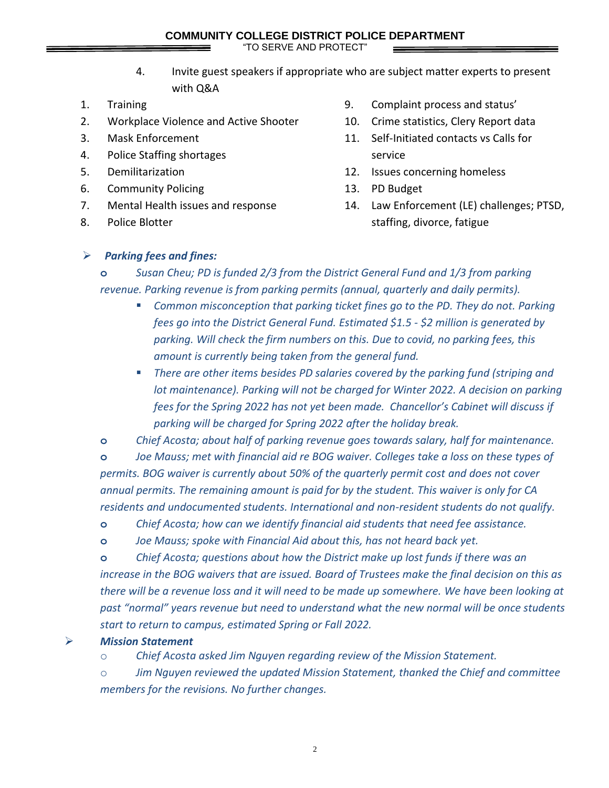"TO SERVE AND PROTECT"

- 4. Invite guest speakers if appropriate who are subject matter experts to present with Q&A
- 1. Training
- 2. Workplace Violence and Active Shooter
- 3. Mask Enforcement
- 4. Police Staffing shortages
- 5. Demilitarization
- 6. Community Policing
- 7. Mental Health issues and response
- 8. Police Blotter
- 9. Complaint process and status'
- 10. Crime statistics, Clery Report data
- 11. Self-Initiated contacts vs Calls for service
- 12. Issues concerning homeless
- 13. PD Budget
- 14. Law Enforcement (LE) challenges; PTSD, staffing, divorce, fatigue

## ➢ *Parking fees and fines:*

**o** *Susan Cheu; PD is funded 2/3 from the District General Fund and 1/3 from parking revenue. Parking revenue is from parking permits (annual, quarterly and daily permits).*

- *Common misconception that parking ticket fines go to the PD. They do not. Parking fees go into the District General Fund. Estimated \$1.5 - \$2 million is generated by parking. Will check the firm numbers on this. Due to covid, no parking fees, this amount is currently being taken from the general fund.*
- There are other items besides PD salaries covered by the parking fund (striping and *lot maintenance). Parking will not be charged for Winter 2022. A decision on parking fees for the Spring 2022 has not yet been made. Chancellor's Cabinet will discuss if parking will be charged for Spring 2022 after the holiday break.*

**o** *Chief Acosta; about half of parking revenue goes towards salary, half for maintenance.*

**o** *Joe Mauss; met with financial aid re BOG waiver. Colleges take a loss on these types of permits. BOG waiver is currently about 50% of the quarterly permit cost and does not cover annual permits. The remaining amount is paid for by the student. This waiver is only for CA residents and undocumented students. International and non-resident students do not qualify.*

**o** *Chief Acosta; how can we identify financial aid students that need fee assistance.* 

**o** *Joe Mauss; spoke with Financial Aid about this, has not heard back yet.*

**o** *Chief Acosta; questions about how the District make up lost funds if there was an increase in the BOG waivers that are issued. Board of Trustees make the final decision on this as there will be a revenue loss and it will need to be made up somewhere. We have been looking at past "normal" years revenue but need to understand what the new normal will be once students start to return to campus, estimated Spring or Fall 2022.* 

➢ *Mission Statement*

o *Chief Acosta asked Jim Nguyen regarding review of the Mission Statement.* 

o *Jim Nguyen reviewed the updated Mission Statement, thanked the Chief and committee members for the revisions. No further changes.*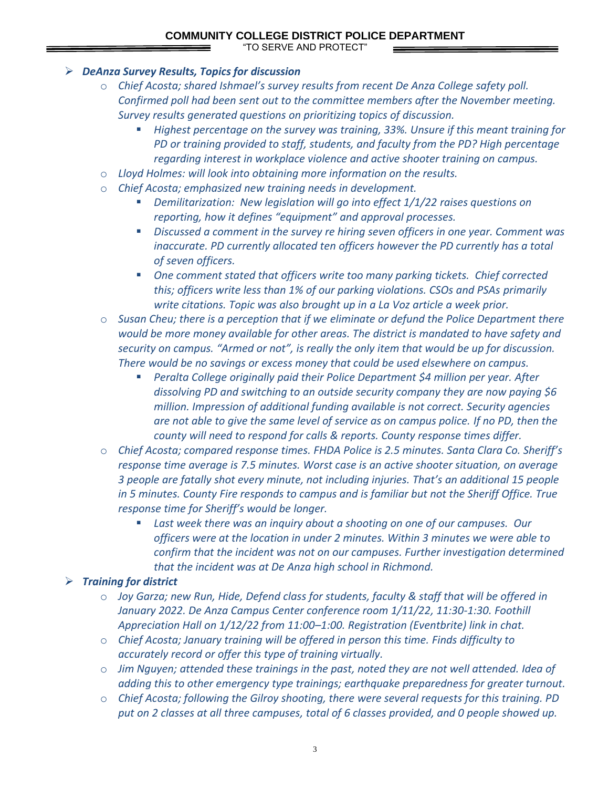#### **COMMUNITY COLLEGE DISTRICT POLICE DEPARTMENT**

"TO SERVE AND PROTECT"

#### ➢ *DeAnza Survey Results, Topics for discussion*

- o *Chief Acosta; shared Ishmael's survey results from recent De Anza College safety poll. Confirmed poll had been sent out to the committee members after the November meeting. Survey results generated questions on prioritizing topics of discussion.*
	- *Highest percentage on the survey was training, 33%. Unsure if this meant training for PD or training provided to staff, students, and faculty from the PD? High percentage regarding interest in workplace violence and active shooter training on campus.*
- o *Lloyd Holmes: will look into obtaining more information on the results.*
- o *Chief Acosta; emphasized new training needs in development.*
	- *Demilitarization: New legislation will go into effect 1/1/22 raises questions on reporting, how it defines "equipment" and approval processes.*
	- *Discussed a comment in the survey re hiring seven officers in one year. Comment was inaccurate. PD currently allocated ten officers however the PD currently has a total of seven officers.*
	- One comment stated that officers write too many parking tickets. Chief corrected *this; officers write less than 1% of our parking violations. CSOs and PSAs primarily write citations. Topic was also brought up in a La Voz article a week prior.*
- o *Susan Cheu; there is a perception that if we eliminate or defund the Police Department there would be more money available for other areas. The district is mandated to have safety and security on campus. "Armed or not", is really the only item that would be up for discussion. There would be no savings or excess money that could be used elsewhere on campus.*
	- *Peralta College originally paid their Police Department \$4 million per year. After dissolving PD and switching to an outside security company they are now paying \$6 million. Impression of additional funding available is not correct. Security agencies are not able to give the same level of service as on campus police. If no PD, then the county will need to respond for calls & reports. County response times differ.*
- o *Chief Acosta; compared response times. FHDA Police is 2.5 minutes. Santa Clara Co. Sheriff's response time average is 7.5 minutes. Worst case is an active shooter situation, on average 3 people are fatally shot every minute, not including injuries. That's an additional 15 people in 5 minutes. County Fire responds to campus and is familiar but not the Sheriff Office. True response time for Sheriff's would be longer.* 
	- Last week there was an inquiry about a shooting on one of our campuses. Our *officers were at the location in under 2 minutes. Within 3 minutes we were able to confirm that the incident was not on our campuses. Further investigation determined that the incident was at De Anza high school in Richmond.*

#### ➢ *Training for district*

- o *Joy Garza; new Run, Hide, Defend class for students, faculty & staff that will be offered in January 2022. De Anza Campus Center conference room 1/11/22, 11:30-1:30. Foothill Appreciation Hall on 1/12/22 from 11:00–1:00. Registration (Eventbrite) link in chat.*
- o *Chief Acosta; January training will be offered in person this time. Finds difficulty to accurately record or offer this type of training virtually.*
- o *Jim Nguyen; attended these trainings in the past, noted they are not well attended. Idea of adding this to other emergency type trainings; earthquake preparedness for greater turnout.*
- o *Chief Acosta; following the Gilroy shooting, there were several requests for this training. PD put on 2 classes at all three campuses, total of 6 classes provided, and 0 people showed up.*